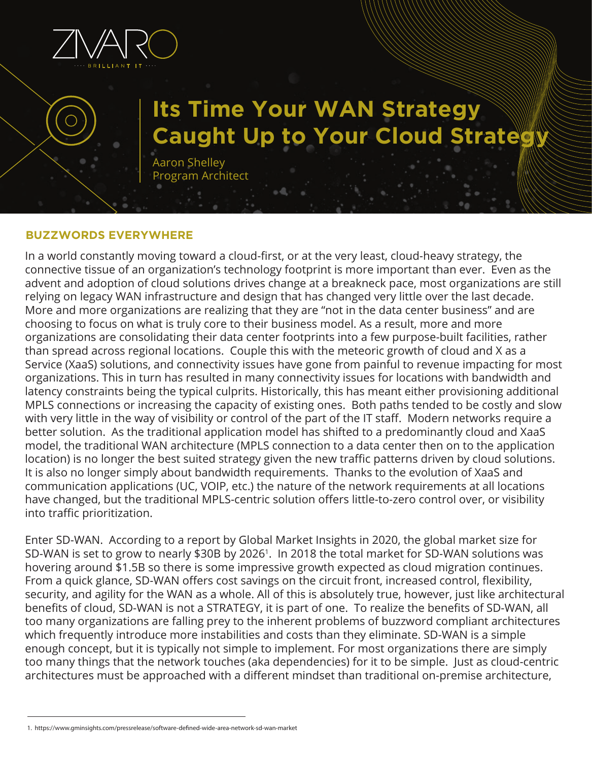

# **Its Time Your WAN Strategy Caught Up to Your Cloud Strate**

Aaron Shelley Program Architect

## **BUZZWORDS EVERYWHERE**

In a world constantly moving toward a cloud-first, or at the very least, cloud-heavy strategy, the connective tissue of an organization's technology footprint is more important than ever. Even as the advent and adoption of cloud solutions drives change at a breakneck pace, most organizations are still relying on legacy WAN infrastructure and design that has changed very little over the last decade. More and more organizations are realizing that they are "not in the data center business" and are choosing to focus on what is truly core to their business model. As a result, more and more organizations are consolidating their data center footprints into a few purpose-built facilities, rather than spread across regional locations. Couple this with the meteoric growth of cloud and X as a Service (XaaS) solutions, and connectivity issues have gone from painful to revenue impacting for most organizations. This in turn has resulted in many connectivity issues for locations with bandwidth and latency constraints being the typical culprits. Historically, this has meant either provisioning additional MPLS connections or increasing the capacity of existing ones. Both paths tended to be costly and slow with very little in the way of visibility or control of the part of the IT staff. Modern networks require a better solution. As the traditional application model has shifted to a predominantly cloud and XaaS model, the traditional WAN architecture (MPLS connection to a data center then on to the application location) is no longer the best suited strategy given the new traffic patterns driven by cloud solutions. It is also no longer simply about bandwidth requirements. Thanks to the evolution of XaaS and communication applications (UC, VOIP, etc.) the nature of the network requirements at all locations have changed, but the traditional MPLS-centric solution offers little-to-zero control over, or visibility into traffic prioritization.

Enter SD-WAN. According to a report by Global Market Insights in 2020, the global market size for SD-WAN is set to grow to nearly \$30B by 20261. In 2018 the total market for SD-WAN solutions was hovering around \$1.5B so there is some impressive growth expected as cloud migration continues. From a quick glance, SD-WAN offers cost savings on the circuit front, increased control, flexibility, security, and agility for the WAN as a whole. All of this is absolutely true, however, just like architectural benefits of cloud, SD-WAN is not a STRATEGY, it is part of one. To realize the benefits of SD-WAN, all too many organizations are falling prey to the inherent problems of buzzword compliant architectures which frequently introduce more instabilities and costs than they eliminate. SD-WAN is a simple enough concept, but it is typically not simple to implement. For most organizations there are simply too many things that the network touches (aka dependencies) for it to be simple. Just as cloud-centric architectures must be approached with a different mindset than traditional on-premise architecture,

<sup>1.</sup> https://www.gminsights.com/pressrelease/software-dened-wide-area-network-sd-wan-market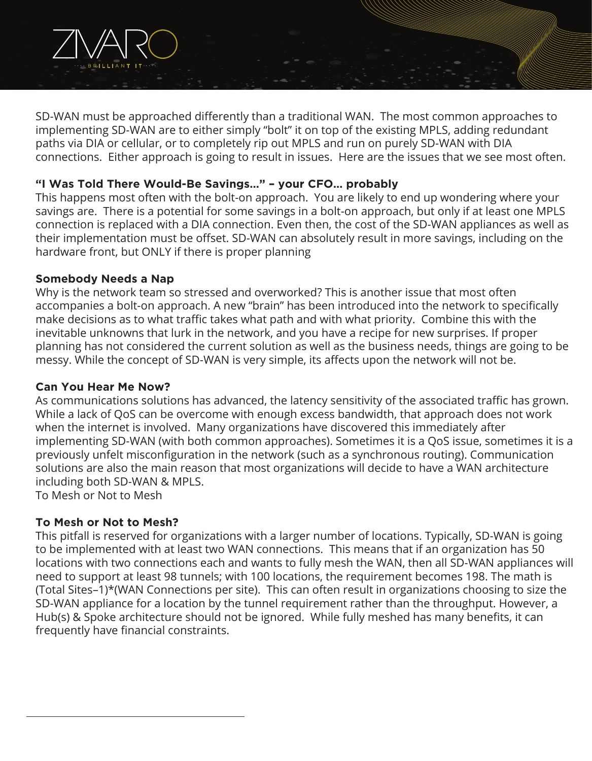

SD-WAN must be approached differently than a traditional WAN. The most common approaches to implementing SD-WAN are to either simply "bolt" it on top of the existing MPLS, adding redundant paths via DIA or cellular, or to completely rip out MPLS and run on purely SD-WAN with DIA connections. Either approach is going to result in issues. Here are the issues that we see most often.

# **"I Was Told There Would-Be Savings…" – your CFO… probably**

This happens most often with the bolt-on approach. You are likely to end up wondering where your savings are. There is a potential for some savings in a bolt-on approach, but only if at least one MPLS connection is replaced with a DIA connection. Even then, the cost of the SD-WAN appliances as well as their implementation must be offset. SD-WAN can absolutely result in more savings, including on the hardware front, but ONLY if there is proper planning

## **Somebody Needs a Nap**

Why is the network team so stressed and overworked? This is another issue that most often accompanies a bolt-on approach. A new "brain" has been introduced into the network to specifically make decisions as to what traffic takes what path and with what priority. Combine this with the inevitable unknowns that lurk in the network, and you have a recipe for new surprises. If proper planning has not considered the current solution as well as the business needs, things are going to be messy. While the concept of SD-WAN is very simple, its affects upon the network will not be.

## **Can You Hear Me Now?**

As communications solutions has advanced, the latency sensitivity of the associated traffic has grown. While a lack of QoS can be overcome with enough excess bandwidth, that approach does not work when the internet is involved. Many organizations have discovered this immediately after implementing SD-WAN (with both common approaches). Sometimes it is a QoS issue, sometimes it is a previously unfelt misconfiguration in the network (such as a synchronous routing). Communication solutions are also the main reason that most organizations will decide to have a WAN architecture including both SD-WAN & MPLS.

To Mesh or Not to Mesh

## **To Mesh or Not to Mesh?**

This pitfall is reserved for organizations with a larger number of locations. Typically, SD-WAN is going to be implemented with at least two WAN connections. This means that if an organization has 50 locations with two connections each and wants to fully mesh the WAN, then all SD-WAN appliances will need to support at least 98 tunnels; with 100 locations, the requirement becomes 198. The math is (Total Sites–1)\*(WAN Connections per site). This can often result in organizations choosing to size the SD-WAN appliance for a location by the tunnel requirement rather than the throughput. However, a Hub(s) & Spoke architecture should not be ignored. While fully meshed has many benefits, it can frequently have financial constraints.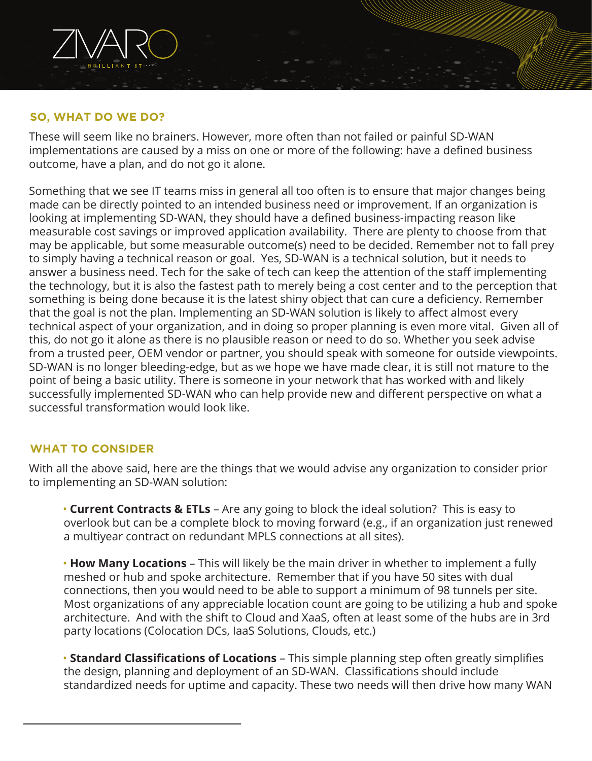## **SO, WHAT DO WE DO?**

These will seem like no brainers. However, more often than not failed or painful SD-WAN implementations are caused by a miss on one or more of the following: have a defined business outcome, have a plan, and do not go it alone.

Something that we see IT teams miss in general all too often is to ensure that major changes being made can be directly pointed to an intended business need or improvement. If an organization is looking at implementing SD-WAN, they should have a defined business-impacting reason like measurable cost savings or improved application availability. There are plenty to choose from that may be applicable, but some measurable outcome(s) need to be decided. Remember not to fall prey to simply having a technical reason or goal. Yes, SD-WAN is a technical solution, but it needs to answer a business need. Tech for the sake of tech can keep the attention of the staff implementing the technology, but it is also the fastest path to merely being a cost center and to the perception that something is being done because it is the latest shiny object that can cure a deficiency. Remember that the goal is not the plan. Implementing an SD-WAN solution is likely to affect almost every technical aspect of your organization, and in doing so proper planning is even more vital. Given all of this, do not go it alone as there is no plausible reason or need to do so. Whether you seek advise from a trusted peer, OEM vendor or partner, you should speak with someone for outside viewpoints. SD-WAN is no longer bleeding-edge, but as we hope we have made clear, it is still not mature to the point of being a basic utility. There is someone in your network that has worked with and likely successfully implemented SD-WAN who can help provide new and different perspective on what a successful transformation would look like.

#### **WHAT TO CONSIDER**

With all the above said, here are the things that we would advise any organization to consider prior to implementing an SD-WAN solution:

• **Current Contracts & ETLs** – Are any going to block the ideal solution? This is easy to overlook but can be a complete block to moving forward (e.g., if an organization just renewed a multiyear contract on redundant MPLS connections at all sites).

 • **How Many Locations** – This will likely be the main driver in whether to implement a fully meshed or hub and spoke architecture. Remember that if you have 50 sites with dual connections, then you would need to be able to support a minimum of 98 tunnels per site. Most organizations of any appreciable location count are going to be utilizing a hub and spoke architecture. And with the shift to Cloud and XaaS, often at least some of the hubs are in 3rd party locations (Colocation DCs, IaaS Solutions, Clouds, etc.)

 • **Standard Classifications of Locations** – This simple planning step often greatly simplifies the design, planning and deployment of an SD-WAN. Classifications should include standardized needs for uptime and capacity. These two needs will then drive how many WAN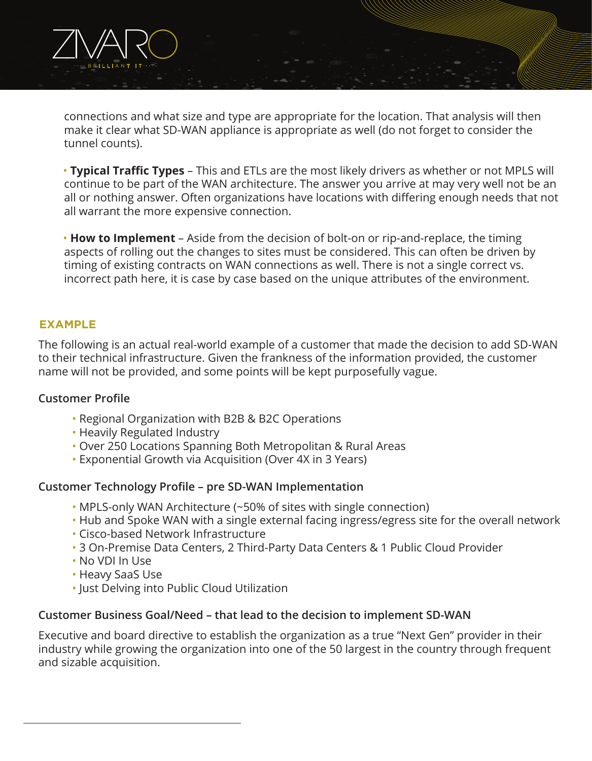connections and what size and type are appropriate for the location. That analysis will then make it clear what SD-WAN appliance is appropriate as well (do not forget to consider the tunnel counts).

 • **Typical Traffic Types** – This and ETLs are the most likely drivers as whether or not MPLS will continue to be part of the WAN architecture. The answer you arrive at may very well not be an all or nothing answer. Often organizations have locations with differing enough needs that not all warrant the more expensive connection.

 • **How to Implement** – Aside from the decision of bolt-on or rip-and-replace, the timing aspects of rolling out the changes to sites must be considered. This can often be driven by timing of existing contracts on WAN connections as well. There is not a single correct vs. incorrect path here, it is case by case based on the unique attributes of the environment.

## **EXAMPLE**

The following is an actual real-world example of a customer that made the decision to add SD-WAN to their technical infrastructure. Given the frankness of the information provided, the customer name will not be provided, and some points will be kept purposefully vague.

#### **Customer Profile**

- Regional Organization with B2B & B2C Operations
- Heavily Regulated Industry
- Over 250 Locations Spanning Both Metropolitan & Rural Areas
- Exponential Growth via Acquisition (Over 4X in 3 Years)

#### **Customer Technology Profile – pre SD-WAN Implementation**

- MPLS-only WAN Architecture (~50% of sites with single connection)
- Hub and Spoke WAN with a single external facing ingress/egress site for the overall network
- Cisco-based Network Infrastructure
- 3 On-Premise Data Centers, 2 Third-Party Data Centers & 1 Public Cloud Provider
- No VDI In Use
- Heavy SaaS Use
- Just Delving into Public Cloud Utilization

## **Customer Business Goal/Need – that lead to the decision to implement SD-WAN**

Executive and board directive to establish the organization as a true "Next Gen" provider in their industry while growing the organization into one of the 50 largest in the country through frequent and sizable acquisition.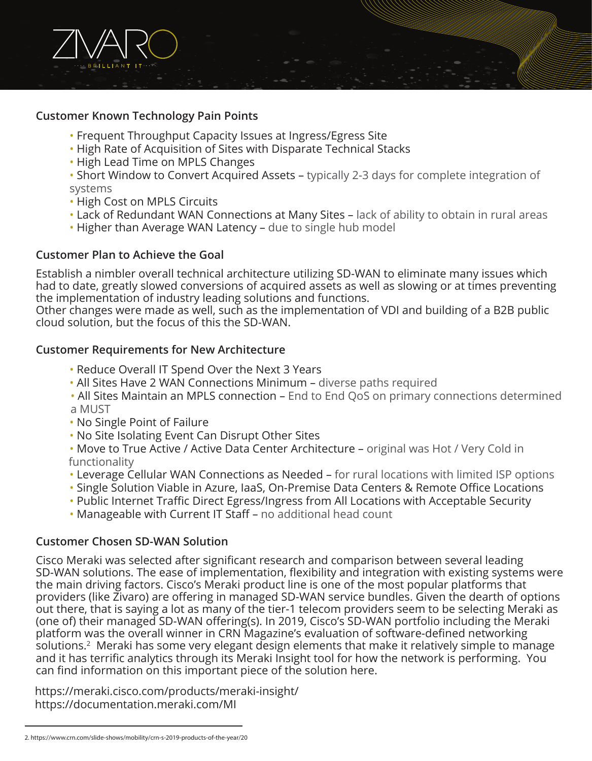

#### **Customer Known Technology Pain Points**

- Frequent Throughput Capacity Issues at Ingress/Egress Site
- High Rate of Acquisition of Sites with Disparate Technical Stacks
- High Lead Time on MPLS Changes

• Short Window to Convert Acquired Assets – typically 2-3 days for complete integration of systems

- High Cost on MPLS Circuits
- Lack of Redundant WAN Connections at Many Sites lack of ability to obtain in rural areas
- Higher than Average WAN Latency due to single hub model

## **Customer Plan to Achieve the Goal**

Establish a nimbler overall technical architecture utilizing SD-WAN to eliminate many issues which had to date, greatly slowed conversions of acquired assets as well as slowing or at times preventing the implementation of industry leading solutions and functions.

Other changes were made as well, such as the implementation of VDI and building of a B2B public cloud solution, but the focus of this the SD-WAN.

## **Customer Requirements for New Architecture**

- Reduce Overall IT Spend Over the Next 3 Years
- All Sites Have 2 WAN Connections Minimum diverse paths required
- All Sites Maintain an MPLS connection End to End QoS on primary connections determined a MUST
- No Single Point of Failure
- No Site Isolating Event Can Disrupt Other Sites

• Move to True Active / Active Data Center Architecture – original was Hot / Very Cold in functionality

- Leverage Cellular WAN Connections as Needed for rural locations with limited ISP options
- Single Solution Viable in Azure, IaaS, On-Premise Data Centers & Remote Office Locations
- Public Internet Traffic Direct Egress/Ingress from All Locations with Acceptable Security
- Manageable with Current IT Staff no additional head count

## **Customer Chosen SD-WAN Solution**

Cisco Meraki was selected after significant research and comparison between several leading SD-WAN solutions. The ease of implementation, flexibility and integration with existing systems were the main driving factors. Cisco's Meraki product line is one of the most popular platforms that providers (like Zivaro) are offering in managed SD-WAN service bundles. Given the dearth of options out there, that is saying a lot as many of the tier-1 telecom providers seem to be selecting Meraki as (one of) their managed SD-WAN offering(s). In 2019, Cisco's SD-WAN portfolio including the Meraki platform was the overall winner in CRN Magazine's evaluation of software-defined networking solutions.<sup>2</sup> Meraki has some very elegant design elements that make it relatively simple to manage and it has terrific analytics through its Meraki Insight tool for how the network is performing. You can find information on this important piece of the solution here.

https://meraki.cisco.com/products/meraki-insight/ https://documentation.meraki.com/MI

<sup>2.</sup> https://www.crn.com/slide-shows/mobility/crn-s-2019-products-of-the-year/20